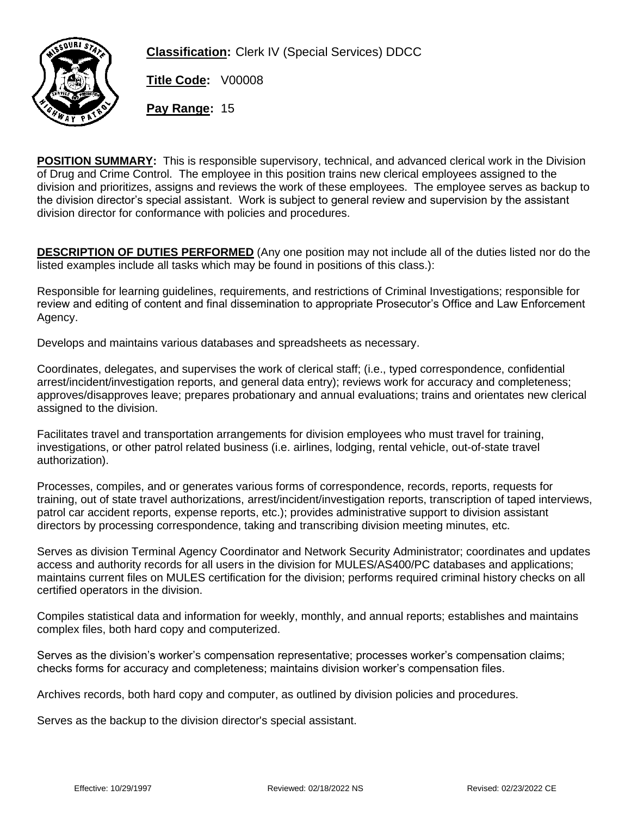

**Classification:** Clerk IV (Special Services) DDCC

**Title Code:** V00008

**Pay Range:** 15

**POSITION SUMMARY:** This is responsible supervisory, technical, and advanced clerical work in the Division of Drug and Crime Control. The employee in this position trains new clerical employees assigned to the division and prioritizes, assigns and reviews the work of these employees. The employee serves as backup to the division director's special assistant. Work is subject to general review and supervision by the assistant division director for conformance with policies and procedures.

**DESCRIPTION OF DUTIES PERFORMED** (Any one position may not include all of the duties listed nor do the listed examples include all tasks which may be found in positions of this class.):

Responsible for learning guidelines, requirements, and restrictions of Criminal Investigations; responsible for review and editing of content and final dissemination to appropriate Prosecutor's Office and Law Enforcement Agency.

Develops and maintains various databases and spreadsheets as necessary.

Coordinates, delegates, and supervises the work of clerical staff; (i.e., typed correspondence, confidential arrest/incident/investigation reports, and general data entry); reviews work for accuracy and completeness; approves/disapproves leave; prepares probationary and annual evaluations; trains and orientates new clerical assigned to the division.

Facilitates travel and transportation arrangements for division employees who must travel for training, investigations, or other patrol related business (i.e. airlines, lodging, rental vehicle, out-of-state travel authorization).

Processes, compiles, and or generates various forms of correspondence, records, reports, requests for training, out of state travel authorizations, arrest/incident/investigation reports, transcription of taped interviews, patrol car accident reports, expense reports, etc.); provides administrative support to division assistant directors by processing correspondence, taking and transcribing division meeting minutes, etc.

Serves as division Terminal Agency Coordinator and Network Security Administrator; coordinates and updates access and authority records for all users in the division for MULES/AS400/PC databases and applications; maintains current files on MULES certification for the division; performs required criminal history checks on all certified operators in the division.

Compiles statistical data and information for weekly, monthly, and annual reports; establishes and maintains complex files, both hard copy and computerized.

Serves as the division's worker's compensation representative; processes worker's compensation claims; checks forms for accuracy and completeness; maintains division worker's compensation files.

Archives records, both hard copy and computer, as outlined by division policies and procedures.

Serves as the backup to the division director's special assistant.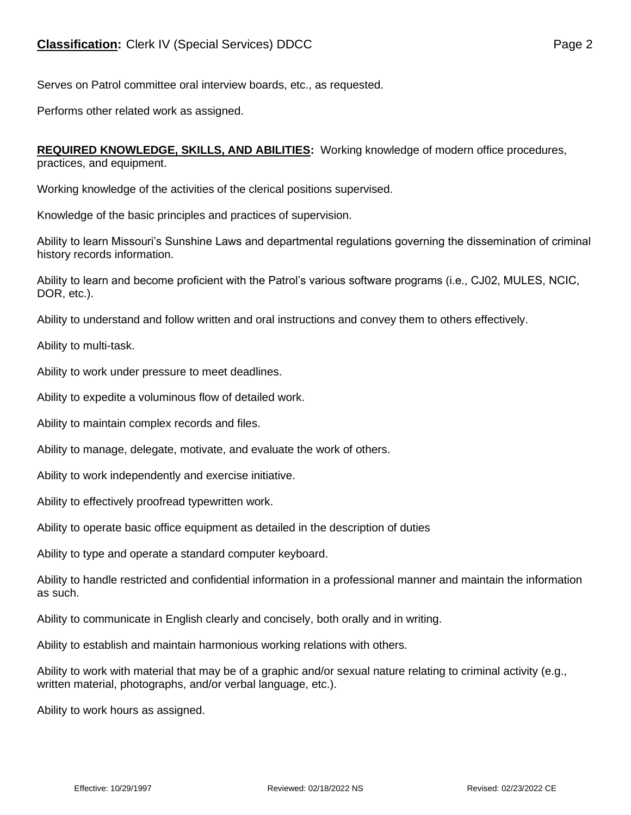Serves on Patrol committee oral interview boards, etc., as requested.

Performs other related work as assigned.

**REQUIRED KNOWLEDGE, SKILLS, AND ABILITIES:** Working knowledge of modern office procedures, practices, and equipment.

Working knowledge of the activities of the clerical positions supervised.

Knowledge of the basic principles and practices of supervision.

Ability to learn Missouri's Sunshine Laws and departmental regulations governing the dissemination of criminal history records information.

Ability to learn and become proficient with the Patrol's various software programs (i.e., CJ02, MULES, NCIC, DOR, etc.).

Ability to understand and follow written and oral instructions and convey them to others effectively.

Ability to multi-task.

Ability to work under pressure to meet deadlines.

Ability to expedite a voluminous flow of detailed work.

Ability to maintain complex records and files.

Ability to manage, delegate, motivate, and evaluate the work of others.

Ability to work independently and exercise initiative.

Ability to effectively proofread typewritten work.

Ability to operate basic office equipment as detailed in the description of duties

Ability to type and operate a standard computer keyboard.

Ability to handle restricted and confidential information in a professional manner and maintain the information as such.

Ability to communicate in English clearly and concisely, both orally and in writing.

Ability to establish and maintain harmonious working relations with others.

Ability to work with material that may be of a graphic and/or sexual nature relating to criminal activity (e.g., written material, photographs, and/or verbal language, etc.).

Ability to work hours as assigned.